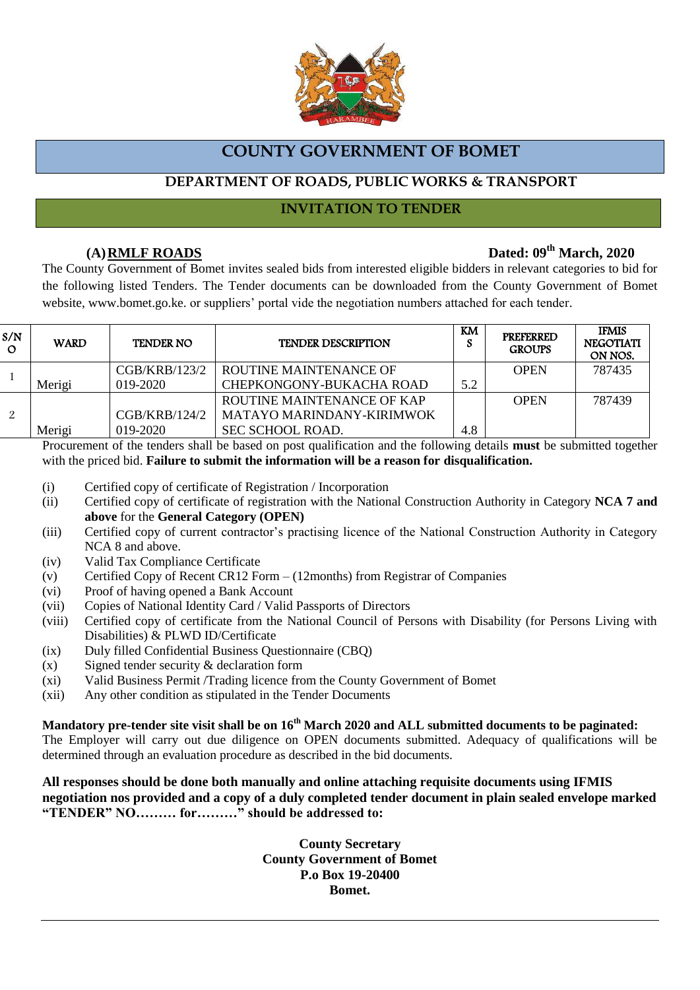

# **COUNTY GOVERNMENT OF BOMET**

# **DEPARTMENT OF ROADS, PUBLIC WORKS & TRANSPORT**

### **INVITATION TO TENDER**

# **(A)RMLF ROADS Dated: 09th March, 2020**

The County Government of Bomet invites sealed bids from interested eligible bidders in relevant categories to bid for the following listed Tenders. The Tender documents can be downloaded from the County Government of Bomet website, www.bomet.go.ke. or suppliers' portal vide the negotiation numbers attached for each tender.

| S/N<br>$\circ$ | <b>WARD</b> | <b>TENDER NO</b> | <b>TENDER DESCRIPTION</b>  | KM  | <b>PREFERRED</b><br><b>GROUPS</b> | <b>IFMIS</b><br><b>NEGOTIATI</b><br>ON NOS. |
|----------------|-------------|------------------|----------------------------|-----|-----------------------------------|---------------------------------------------|
|                |             | CGB/KRB/123/2    | ROUTINE MAINTENANCE OF     |     | <b>OPEN</b>                       | 787435                                      |
|                | Merigi      | $019 - 2020$     | CHEPKONGONY-BUKACHA ROAD   | 5.2 |                                   |                                             |
|                |             |                  | ROUTINE MAINTENANCE OF KAP |     | <b>OPEN</b>                       | 787439                                      |
|                |             | CGB/KRB/124/2    | MATAYO MARINDANY-KIRIMWOK  |     |                                   |                                             |
|                | Merigi      | $019 - 2020$     | <b>SEC SCHOOL ROAD.</b>    | 4.8 |                                   |                                             |

Procurement of the tenders shall be based on post qualification and the following details **must** be submitted together with the priced bid. **Failure to submit the information will be a reason for disqualification.**

- (i) Certified copy of certificate of Registration / Incorporation
- (ii) Certified copy of certificate of registration with the National Construction Authority in Category **NCA 7 and above** for the **General Category (OPEN)**
- (iii) Certified copy of current contractor's practising licence of the National Construction Authority in Category NCA 8 and above.
- (iv) Valid Tax Compliance Certificate
- (v) Certified Copy of Recent CR12 Form (12months) from Registrar of Companies
- (vi) Proof of having opened a Bank Account
- (vii) Copies of National Identity Card / Valid Passports of Directors
- (viii) Certified copy of certificate from the National Council of Persons with Disability (for Persons Living with Disabilities) & PLWD ID/Certificate
- (ix) Duly filled Confidential Business Questionnaire (CBQ)
- (x) Signed tender security & declaration form
- (xi) Valid Business Permit /Trading licence from the County Government of Bomet
- (xii) Any other condition as stipulated in the Tender Documents

**Mandatory pre-tender site visit shall be on 16 th March 2020 and ALL submitted documents to be paginated:** The Employer will carry out due diligence on OPEN documents submitted. Adequacy of qualifications will be determined through an evaluation procedure as described in the bid documents.

**All responses should be done both manually and online attaching requisite documents using IFMIS negotiation nos provided and a copy of a duly completed tender document in plain sealed envelope marked "TENDER" NO……… for………" should be addressed to:** 

> **County Secretary County Government of Bomet P.o Box 19-20400 Bomet.**